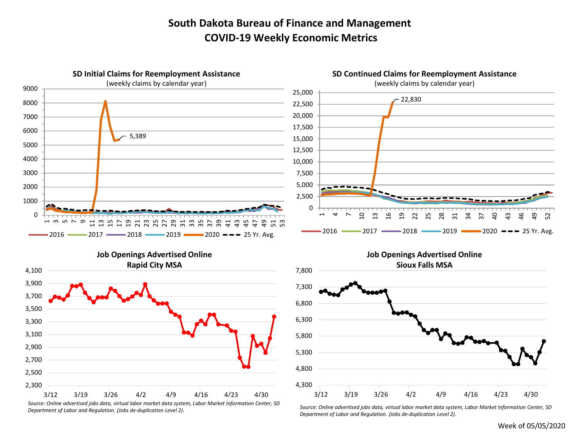## South Dakota Bureau of Finance and Management COVID-19 Weekly Economic Metrics



Department of Labor and Regulation. (Jobs de-duplication Level 2).

Department of Labor and Regulation. (Jobs de-duplication Level 2).

Week of 05/05/2020